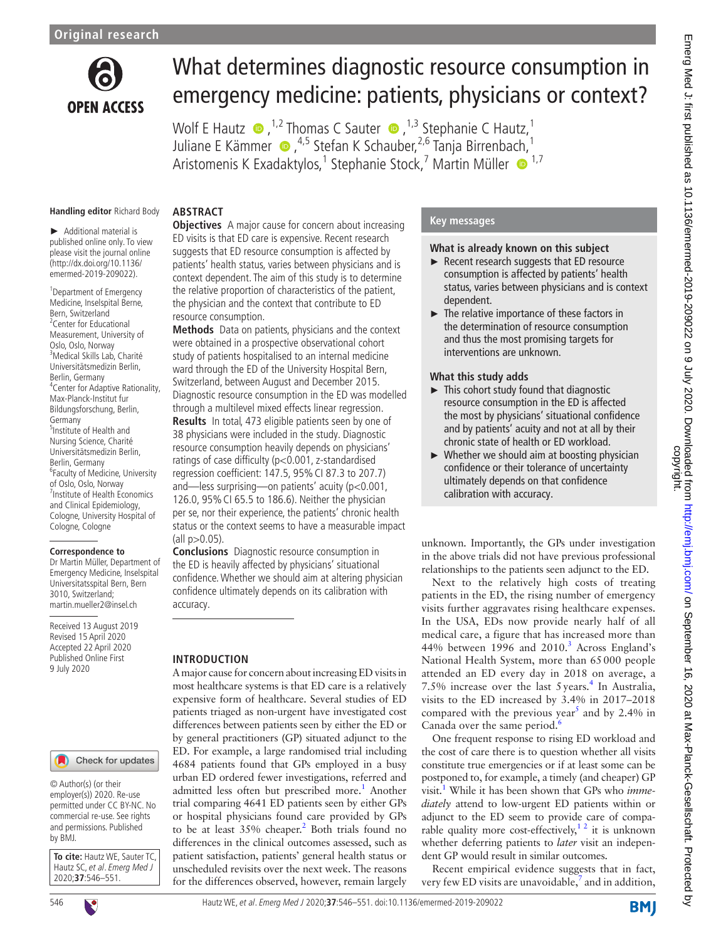

# What determines diagnostic resource consumption in emergency medicine: patients, physicians or context?

WolfE Hautz  $\bullet$ , <sup>1,2</sup> Thomas C Sauter  $\bullet$ , <sup>1,3</sup> Stephanie C Hautz, <sup>1</sup> JulianeE Kämmer (D, <sup>4,5</sup> Stefan K Schauber, <sup>2,6</sup> Tanja Birrenba[ch,](http://orcid.org/0000-0003-4067-7174) <sup>1</sup> Aristomenis K Exadaktylos,<sup>1</sup> Stephanie Stock,<sup>7</sup> Martin Müller · <sup>1,7</sup>

#### **Handling editor** Richard Body

**Abstract**

► Additional material is published online only. To view please visit the journal online [\(http://dx.doi.org/10.1136/](http://dx.doi.org/10.1136/emermed-2019-209022) [emermed-2019-209022](http://dx.doi.org/10.1136/emermed-2019-209022)).

1 Department of Emergency Medicine, Inselspital Berne, Bern, Switzerland <sup>2</sup> Center for Educational Measurement, University of Oslo, Oslo, Norway 3 Medical Skills Lab, Charité Universitätsmedizin Berlin, Berlin, Germany 4 Center for Adaptive Rationality, Max-Planck-Institut fur Bildungsforschung, Berlin, Germany 5 Institute of Health and Nursing Science, Charité Universitätsmedizin Berlin, Berlin, Germany 6 Faculty of Medicine, University of Oslo, Oslo, Norway 7 Institute of Health Economics and Clinical Epidemiology, Cologne, University Hospital of Cologne, Cologne

#### **Correspondence to**

Dr Martin Müller, Department of Emergency Medicine, Inselspital Universitatsspital Bern, Bern 3010, Switzerland; martin.mueller2@insel.ch

Received 13 August 2019 Revised 15 April 2020 Accepted 22 April 2020 Published Online First 9 July 2020

#### Check for updates

© Author(s) (or their employer(s)) 2020. Re-use permitted under CC BY-NC. No commercial re-use. See rights and permissions. Published by BMJ.

**To cite:** Hautz WE, Sauter TC, Hautz SC, et al. Emerg Med J 2020;**37**:546–551.



**Objectives** A major cause for concern about increasing ED visits is that ED care is expensive. Recent research suggests that ED resource consumption is affected by patients' health status, varies between physicians and is context dependent. The aim of this study is to determine the relative proportion of characteristics of the patient, the physician and the context that contribute to ED resource consumption.

**Methods** Data on patients, physicians and the context were obtained in a prospective observational cohort study of patients hospitalised to an internal medicine ward through the ED of the University Hospital Bern, Switzerland, between August and December 2015. Diagnostic resource consumption in the ED was modelled through a multilevel mixed effects linear regression. **Results** In total, 473 eligible patients seen by one of 38 physicians were included in the study. Diagnostic resource consumption heavily depends on physicians' ratings of case difficulty (p<0.001, z-standardised regression coefficient: 147.5, 95%CI 87.3 to 207.7) and—less surprising—on patients' acuity (p<0.001, 126.0, 95%CI 65.5 to 186.6). Neither the physician per se, nor their experience, the patients' chronic health status or the context seems to have a measurable impact  $\frac{1}{2}$  (all p $> 0.05$ ).

**Conclusions** Diagnostic resource consumption in the ED is heavily affected by physicians' situational confidence. Whether we should aim at altering physician confidence ultimately depends on its calibration with accuracy.

#### **Introduction**

A major cause for concern about increasing ED visits in most healthcare systems is that ED care is a relatively expensive form of healthcare. Several studies of ED patients triaged as non-urgent have investigated cost differences between patients seen by either the ED or by general practitioners (GP) situated adjunct to the ED. For example, a large randomised trial including 4684 patients found that GPs employed in a busy urban ED ordered fewer investigations, referred and admitted less often but prescribed more.<sup>1</sup> Another trial comparing 4641 ED patients seen by either GPs or hospital physicians found care provided by GPs to be at least 35% cheaper.<sup>2</sup> Both trials found no differences in the clinical outcomes assessed, such as patient satisfaction, patients' general health status or unscheduled revisits over the next week. The reasons for the differences observed, however, remain largely

#### **Key messages**

#### **What is already known on this subject**

- ► Recent research suggests that ED resource consumption is affected by patients' health status, varies between physicians and is context dependent.
- ► The relative importance of these factors in the determination of resource consumption and thus the most promising targets for interventions are unknown.

#### **What this study adds**

- ► This cohort study found that diagnostic resource consumption in the ED is affected the most by physicians' situational confidence and by patients' acuity and not at all by their chronic state of health or ED workload.
- $\triangleright$  Whether we should aim at boosting physician confidence or their tolerance of uncertainty ultimately depends on that confidence calibration with accuracy.

unknown. Importantly, the GPs under investigation in the above trials did not have previous professional relationships to the patients seen adjunct to the ED.

Next to the relatively high costs of treating patients in the ED, the rising number of emergency visits further aggravates rising healthcare expenses. In the USA, EDs now provide nearly half of all medical care, a figure that has increased more than 44% between 1996 and 2010.<sup>[3](#page-5-2)</sup> Across England's National Health System, more than 65000 people attended an ED every day in 2018 on average, a 7.5% increase over the last  $5 \text{ years.}^4$  $5 \text{ years.}^4$  In Australia, visits to the ED increased by 3.4% in 2017–2018 compared with the previous year<sup>[5](#page-5-4)</sup> and by 2.4% in Canada over the same period. $<sup>6</sup>$  $<sup>6</sup>$  $<sup>6</sup>$ </sup>

One frequent response to rising ED workload and the cost of care there is to question whether all visits constitute true emergencies or if at least some can be postponed to, for example, a timely (and cheaper) GP visit[.1](#page-5-0) While it has been shown that GPs who *immediately* attend to low-urgent ED patients within or adjunct to the ED seem to provide care of comparable quality more cost-effectively,<sup>12</sup> it is unknown whether deferring patients to *later* visit an independent GP would result in similar outcomes.

Recent empirical evidence suggests that in fact, very few ED visits are unavoidable, $^7$  $^7$  and in addition,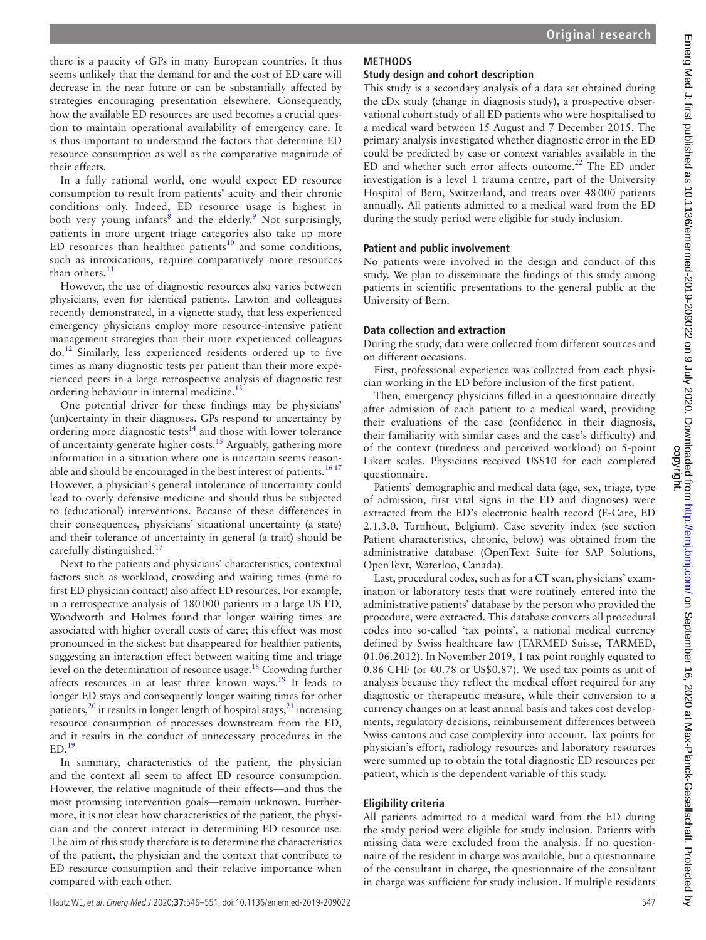there is a paucity of GPs in many European countries. It thus seems unlikely that the demand for and the cost of ED care will decrease in the near future or can be substantially affected by strategies encouraging presentation elsewhere. Consequently, how the available ED resources are used becomes a crucial question to maintain operational availability of emergency care. It is thus important to understand the factors that determine ED resource consumption as well as the comparative magnitude of their effects.

In a fully rational world, one would expect ED resource consumption to result from patients' acuity and their chronic conditions only. Indeed, ED resource usage is highest in both very young infants<sup>[8](#page-5-7)</sup> and the elderly.<sup>[9](#page-5-8)</sup> Not surprisingly, patients in more urgent triage categories also take up more ED resources than healthier patients $10$  and some conditions, such as intoxications, require comparatively more resources than others. $11$ 

However, the use of diagnostic resources also varies between physicians, even for identical patients. Lawton and colleagues recently demonstrated, in a vignette study, that less experienced emergency physicians employ more resource-intensive patient management strategies than their more experienced colleagues do.[12](#page-5-11) Similarly, less experienced residents ordered up to five times as many diagnostic tests per patient than their more experienced peers in a large retrospective analysis of diagnostic test ordering behaviour in internal medicine.<sup>13</sup>

One potential driver for these findings may be physicians' (un)certainty in their diagnoses. GPs respond to uncertainty by ordering more diagnostic tests<sup>14</sup> and those with lower tolerance of uncertainty generate higher costs.<sup>15</sup> Arguably, gathering more information in a situation where one is uncertain seems reasonable and should be encouraged in the best interest of patients.<sup>1617</sup> However, a physician's general intolerance of uncertainty could lead to overly defensive medicine and should thus be subjected to (educational) interventions. Because of these differences in their consequences, physicians' situational uncertainty (a state) and their tolerance of uncertainty in general (a trait) should be carefully distinguished.<sup>[17](#page-5-16)</sup>

Next to the patients and physicians' characteristics, contextual factors such as workload, crowding and waiting times (time to first ED physician contact) also affect ED resources. For example, in a retrospective analysis of 180000 patients in a large US ED, Woodworth and Holmes found that longer waiting times are associated with higher overall costs of care; this effect was most pronounced in the sickest but disappeared for healthier patients, suggesting an interaction effect between waiting time and triage level on the determination of resource usage[.18](#page-5-17) Crowding further affects resources in at least three known ways.<sup>[19](#page-5-18)</sup> It leads to longer ED stays and consequently longer waiting times for other patients,<sup>20</sup> it results in longer length of hospital stays,<sup>[21](#page-5-20)</sup> increasing resource consumption of processes downstream from the ED, and it results in the conduct of unnecessary procedures in the  $ED.<sup>19</sup>$  $ED.<sup>19</sup>$  $ED.<sup>19</sup>$ 

In summary, characteristics of the patient, the physician and the context all seem to affect ED resource consumption. However, the relative magnitude of their effects—and thus the most promising intervention goals—remain unknown. Furthermore, it is not clear how characteristics of the patient, the physician and the context interact in determining ED resource use. The aim of this study therefore is to determine the characteristics of the patient, the physician and the context that contribute to ED resource consumption and their relative importance when compared with each other.

# **Methods**

#### **Study design and cohort description**

This study is a secondary analysis of a data set obtained during the cDx study (change in diagnosis study), a prospective observational cohort study of all ED patients who were hospitalised to a medical ward between 15 August and 7 December 2015. The primary analysis investigated whether diagnostic error in the ED could be predicted by case or context variables available in the ED and whether such error affects outcome.<sup>22</sup> The ED under investigation is a level 1 trauma centre, part of the University Hospital of Bern, Switzerland, and treats over 48000 patients annually. All patients admitted to a medical ward from the ED during the study period were eligible for study inclusion.

## **Patient and public involvement**

No patients were involved in the design and conduct of this study. We plan to disseminate the findings of this study among patients in scientific presentations to the general public at the University of Bern.

## **Data collection and extraction**

During the study, data were collected from different sources and on different occasions.

First, professional experience was collected from each physician working in the ED before inclusion of the first patient.

Then, emergency physicians filled in a questionnaire directly after admission of each patient to a medical ward, providing their evaluations of the case (confidence in their diagnosis, their familiarity with similar cases and the case's difficulty) and of the context (tiredness and perceived workload) on 5-point Likert scales. Physicians received US\$10 for each completed questionnaire.

Patients' demographic and medical data (age, sex, triage, type of admission, first vital signs in the ED and diagnoses) were extracted from the ED's electronic health record (E-Care, ED 2.1.3.0, Turnhout, Belgium). Case severity index (see section Patient characteristics, chronic, below) was obtained from the administrative database (OpenText Suite for SAP Solutions, OpenText, Waterloo, Canada).

Last, procedural codes, such as for a CT scan, physicians' examination or laboratory tests that were routinely entered into the administrative patients' database by the person who provided the procedure, were extracted. This database converts all procedural codes into so-called 'tax points', a national medical currency defined by Swiss healthcare law (TARMED Suisse, TARMED, 01.06.2012). In November 2019, 1 tax point roughly equated to 0.86 CHF (or  $\epsilon$ 0.78 or US\$0.87). We used tax points as unit of analysis because they reflect the medical effort required for any diagnostic or therapeutic measure, while their conversion to a currency changes on at least annual basis and takes cost developments, regulatory decisions, reimbursement differences between Swiss cantons and case complexity into account. Tax points for physician's effort, radiology resources and laboratory resources were summed up to obtain the total diagnostic ED resources per patient, which is the dependent variable of this study.

# **Eligibility criteria**

All patients admitted to a medical ward from the ED during the study period were eligible for study inclusion. Patients with missing data were excluded from the analysis. If no questionnaire of the resident in charge was available, but a questionnaire of the consultant in charge, the questionnaire of the consultant in charge was sufficient for study inclusion. If multiple residents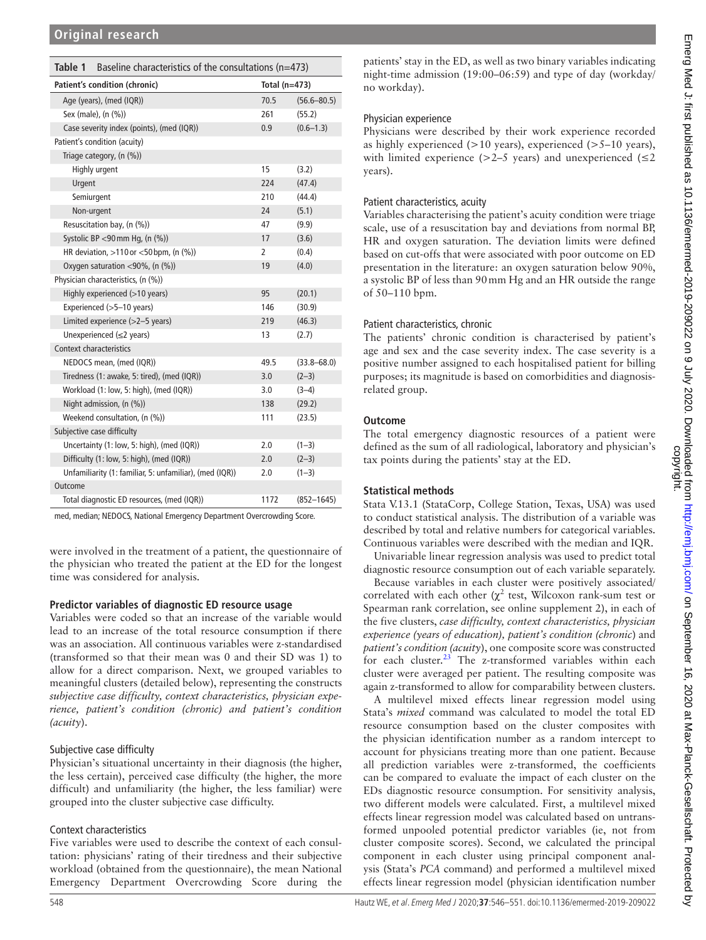<span id="page-2-0"></span>

| Table 1<br>Baseline characteristics of the consultations ( $n=473$ ) |                 |                 |  |  |
|----------------------------------------------------------------------|-----------------|-----------------|--|--|
| Patient's condition (chronic)                                        | Total $(n=473)$ |                 |  |  |
| Age (years), (med (IQR))                                             | 70.5            | $(56.6 - 80.5)$ |  |  |
| Sex (male), (n (%))                                                  | 261             | (55.2)          |  |  |
| Case severity index (points), (med (IQR))                            | 0.9             | $(0.6 - 1.3)$   |  |  |
| Patient's condition (acuity)                                         |                 |                 |  |  |
| Triage category, (n (%))                                             |                 |                 |  |  |
| Highly urgent                                                        | 15              | (3.2)           |  |  |
| Urgent                                                               | 224             | (47.4)          |  |  |
| Semiurgent                                                           | 210             | (44.4)          |  |  |
| Non-urgent                                                           | 24              | (5.1)           |  |  |
| Resuscitation bay, (n (%))                                           | 47              | (9.9)           |  |  |
| Systolic BP <90 mm Hg, (n (%))                                       | 17              | (3.6)           |  |  |
| HR deviation, >110 or <50 bpm, (n (%))                               | 2               | (0.4)           |  |  |
| Oxygen saturation <90%, (n (%))                                      | 19              | (4.0)           |  |  |
| Physician characteristics, (n (%))                                   |                 |                 |  |  |
| Highly experienced (>10 years)                                       | 95              | (20.1)          |  |  |
| Experienced (>5-10 years)                                            | 146             | (30.9)          |  |  |
| Limited experience (>2-5 years)                                      | 219             | (46.3)          |  |  |
| Unexperienced $(\leq 2 \text{ years})$                               | 13              | (2.7)           |  |  |
| Context characteristics                                              |                 |                 |  |  |
| NEDOCS mean, (med (IQR))                                             | 49.5            | $(33.8 - 68.0)$ |  |  |
| Tiredness (1: awake, 5: tired), (med (IQR))                          | 3.0             | $(2-3)$         |  |  |
| Workload (1: low, 5: high), (med (IQR))                              | 3.0             | $(3-4)$         |  |  |
| Night admission, (n (%))                                             | 138             | (29.2)          |  |  |
| Weekend consultation, (n (%))                                        | 111             | (23.5)          |  |  |
| Subjective case difficulty                                           |                 |                 |  |  |
| Uncertainty (1: low, 5: high), (med (IQR))                           | 2.0             | $(1-3)$         |  |  |
| Difficulty (1: low, 5: high), (med (IQR))                            | 2.0             | $(2-3)$         |  |  |
| Unfamiliarity (1: familiar, 5: unfamiliar), (med (IQR))              | 2.0             | $(1-3)$         |  |  |
| Outcome                                                              |                 |                 |  |  |
| Total diagnostic ED resources, (med (IQR))                           | 1172            | $(852 - 1645)$  |  |  |
|                                                                      |                 |                 |  |  |

med, median; NEDOCS, National Emergency Department Overcrowding Score.

were involved in the treatment of a patient, the questionnaire of the physician who treated the patient at the ED for the longest time was considered for analysis.

# **Predictor variables of diagnostic ED resource usage**

Variables were coded so that an increase of the variable would lead to an increase of the total resource consumption if there was an association. All continuous variables were z-standardised (transformed so that their mean was 0 and their SD was 1) to allow for a direct comparison. Next, we grouped variables to meaningful clusters (detailed below), representing the constructs *subjective case difficulty, context characteristics, physician experience, patient's condition (chronic) and patient's condition (acuity*).

# Subjective case difficulty

Physician's situational uncertainty in their diagnosis (the higher, the less certain), perceived case difficulty (the higher, the more difficult) and unfamiliarity (the higher, the less familiar) were grouped into the cluster subjective case difficulty.

# Context characteristics

Five variables were used to describe the context of each consultation: physicians' rating of their tiredness and their subjective workload (obtained from the questionnaire), the mean National Emergency Department Overcrowding Score during the

patients' stay in the ED, as well as two binary variables indicating night-time admission (19:00–06:59) and type of day (workday/ no workday).

## Physician experience

Physicians were described by their work experience recorded as highly experienced (>10 years), experienced (>5–10 years), with limited experience ( $>2-5$  years) and unexperienced ( $\leq 2$ years).

## Patient characteristics, acuity

Variables characterising the patient's acuity condition were triage scale, use of a resuscitation bay and deviations from normal BP, HR and oxygen saturation. The deviation limits were defined based on cut-offs that were associated with poor outcome on ED presentation in the literature: an oxygen saturation below 90%, a systolic BP of less than 90mm Hg and an HR outside the range of 50–110 bpm.

# Patient characteristics, chronic

The patients' chronic condition is characterised by patient's age and sex and the case severity index. The case severity is a positive number assigned to each hospitalised patient for billing purposes; its magnitude is based on comorbidities and diagnosisrelated group.

## **Outcome**

The total emergency diagnostic resources of a patient were defined as the sum of all radiological, laboratory and physician's tax points during the patients' stay at the ED.

# **Statistical methods**

Stata V.13.1 (StataCorp, College Station, Texas, USA) was used to conduct statistical analysis. The distribution of a variable was described by total and relative numbers for categorical variables. Continuous variables were described with the median and IQR.

Univariable linear regression analysis was used to predict total diagnostic resource consumption out of each variable separately.

Because variables in each cluster were positively associated/ correlated with each other ( $\chi^2$  test, Wilcoxon rank-sum test or Spearman rank correlation, see [online supplement 2](https://dx.doi.org/10.1136/emermed-2019-209022)), in each of the five clusters, *case difficulty, context characteristics, physician experience (years of education), patient's condition (chronic*) and *patient's condition (acuity*), one composite score was constructed for each cluster. $^{23}$  The z-transformed variables within each cluster were averaged per patient. The resulting composite was again z-transformed to allow for comparability between clusters.

A multilevel mixed effects linear regression model using Stata's *mixed* command was calculated to model the total ED resource consumption based on the cluster composites with the physician identification number as a random intercept to account for physicians treating more than one patient. Because all prediction variables were z-transformed, the coefficients can be compared to evaluate the impact of each cluster on the EDs diagnostic resource consumption. For sensitivity analysis, two different models were calculated. First, a multilevel mixed effects linear regression model was calculated based on untransformed unpooled potential predictor variables (ie, not from cluster composite scores). Second, we calculated the principal component in each cluster using principal component analysis (Stata's *PCA* command) and performed a multilevel mixed effects linear regression model (physician identification number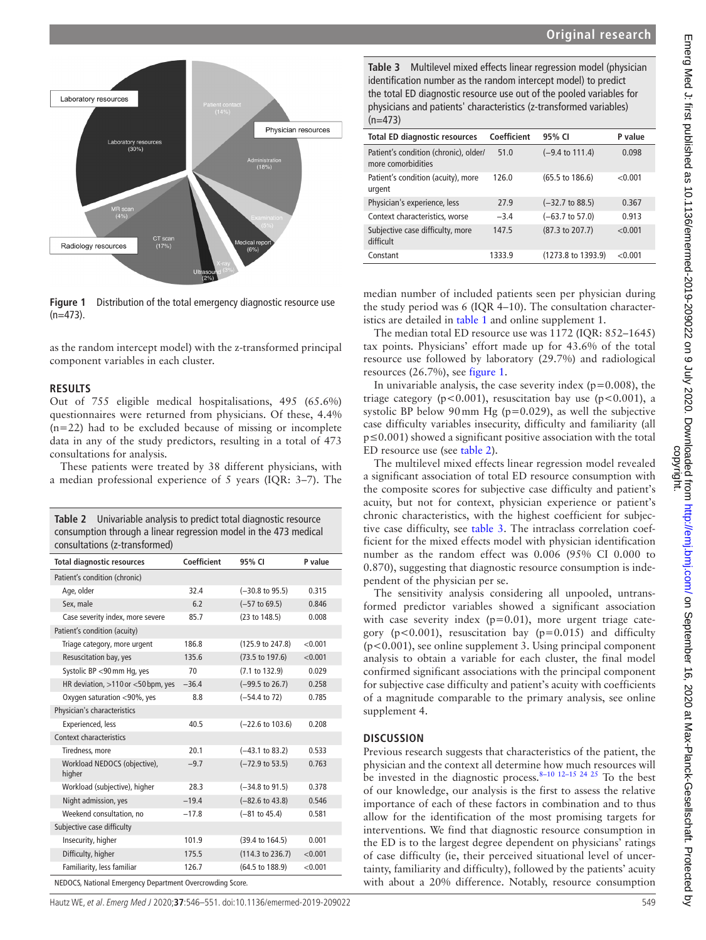

<span id="page-3-0"></span>**Figure 1** Distribution of the total emergency diagnostic resource use  $(n=473)$ .

as the random intercept model) with the z-transformed principal component variables in each cluster.

#### **Results**

Out of 755 eligible medical hospitalisations, 495 (65.6%) questionnaires were returned from physicians. Of these, 4.4% (n=22) had to be excluded because of missing or incomplete data in any of the study predictors, resulting in a total of 473 consultations for analysis.

These patients were treated by 38 different physicians, with a median professional experience of 5 years (IQR: 3–7). The

<span id="page-3-1"></span>**Table 2** Univariable analysis to predict total diagnostic resource

| consumption through a linear regression model in the 473 medical<br>consultations (z-transformed) |             |                             |         |  |  |
|---------------------------------------------------------------------------------------------------|-------------|-----------------------------|---------|--|--|
| <b>Total diagnostic resources</b>                                                                 | Coefficient | 95% CI                      | P value |  |  |
| Patient's condition (chronic)                                                                     |             |                             |         |  |  |
| Age, older                                                                                        | 32.4        | $(-30.8 \text{ to } 95.5)$  | 0.315   |  |  |
| Sex, male                                                                                         | 6.2         | $(-57$ to 69.5)             | 0.846   |  |  |
| Case severity index, more severe                                                                  | 85.7        | (23 to 148.5)               | 0.008   |  |  |
| Patient's condition (acuity)                                                                      |             |                             |         |  |  |
| Triage category, more urgent                                                                      | 186.8       | (125.9 to 247.8)            | < 0.001 |  |  |
| Resuscitation bay, yes                                                                            | 135.6       | $(73.5 \text{ to } 197.6)$  | < 0.001 |  |  |
| Systolic BP <90 mm Hg, yes                                                                        | 70          | (7.1 to 132.9)              | 0.029   |  |  |
| HR deviation, >110 or <50 bpm, yes                                                                | $-36.4$     | $(-99.5 \text{ to } 26.7)$  | 0.258   |  |  |
| Oxygen saturation <90%, yes                                                                       | 8.8         | $(-54.4 \text{ to } 72)$    | 0.785   |  |  |
| Physician's characteristics                                                                       |             |                             |         |  |  |
| Experienced, less                                                                                 | 40.5        | $(-22.6 \text{ to } 103.6)$ | 0.208   |  |  |
| Context characteristics                                                                           |             |                             |         |  |  |
| Tiredness, more                                                                                   | 20.1        | $(-43.1 \text{ to } 83.2)$  | 0.533   |  |  |
| Workload NEDOCS (objective),<br>higher                                                            | $-9.7$      | $(-72.9 \text{ to } 53.5)$  | 0.763   |  |  |
| Workload (subjective), higher                                                                     | 28.3        | $(-34.8 \text{ to } 91.5)$  | 0.378   |  |  |
| Night admission, yes                                                                              | $-19.4$     | $(-82.6 \text{ to } 43.8)$  | 0.546   |  |  |
| Weekend consultation, no                                                                          | $-17.8$     | $(-81$ to $45.4)$           | 0.581   |  |  |
| Subjective case difficulty                                                                        |             |                             |         |  |  |
| Insecurity, higher                                                                                | 101.9       | (39.4 to 164.5)             | 0.001   |  |  |
| Difficulty, higher                                                                                | 175.5       | (114.3 to 236.7)            | < 0.001 |  |  |
| Familiarity, less familiar                                                                        | 126.7       | (64.5 to 188.9)             | < 0.001 |  |  |
| NEDOCS National Emergency Department Overcrowding Scere                                           |             |                             |         |  |  |

al Emergency Department Overcrowding

Hautz WE, et al. Emerg Med J 2020;**37**:546–551. doi:10.1136/emermed-2019-209022 549

<span id="page-3-2"></span>**Table 3** Multilevel mixed effects linear regression model (physician identification number as the random intercept model) to predict the total ED diagnostic resource use out of the pooled variables for physicians and patients' characteristics (z-transformed variables)  $(n=473)$ 

| <b>Total ED diagnostic resources</b>                        | Coefficient | 95% CI                     | P value |
|-------------------------------------------------------------|-------------|----------------------------|---------|
| Patient's condition (chronic), older/<br>more comorbidities | 51.0        | $(-9.4 \text{ to } 111.4)$ | 0.098   |
| Patient's condition (acuity), more<br>urgent                | 126.0       | $(65.5 \text{ to } 186.6)$ | < 0.001 |
| Physician's experience, less                                | 27.9        | $(-32.7 \text{ to } 88.5)$ | 0.367   |
| Context characteristics, worse                              | $-3.4$      | $(-63.7 \text{ to } 57.0)$ | 0.913   |
| Subjective case difficulty, more<br>difficult               | 147.5       | (87.3 to 207.7)            | < 0.001 |
| Constant                                                    | 1333.9      | (1273.8 to 1393.9)         | < 0.001 |

median number of included patients seen per physician during the study period was 6 (IQR 4–10). The consultation characteristics are detailed in [table](#page-2-0) 1 and [online supplement 1](https://dx.doi.org/10.1136/emermed-2019-209022).

The median total ED resource use was 1172 (IQR: 852–1645) tax points. Physicians' effort made up for 43.6% of the total resource use followed by laboratory (29.7%) and radiological resources (26.7%), see [figure](#page-3-0) 1.

In univariable analysis, the case severity index  $(p=0.008)$ , the triage category ( $p < 0.001$ ), resuscitation bay use ( $p < 0.001$ ), a systolic BP below 90 mm Hg ( $p=0.029$ ), as well the subjective case difficulty variables insecurity, difficulty and familiarity (all p≤0.001) showed a significant positive association with the total ED resource use (see [table](#page-3-1) 2).

The multilevel mixed effects linear regression model revealed a significant association of total ED resource consumption with the composite scores for subjective case difficulty and patient's acuity, but not for context, physician experience or patient's chronic characteristics, with the highest coefficient for subjective case difficulty, see [table](#page-3-2) 3. The intraclass correlation coefficient for the mixed effects model with physician identification number as the random effect was 0.006 (95% CI 0.000 to 0.870), suggesting that diagnostic resource consumption is independent of the physician per se.

The sensitivity analysis considering all unpooled, untransformed predictor variables showed a significant association with case severity index  $(p=0.01)$ , more urgent triage category ( $p < 0.001$ ), resuscitation bay ( $p = 0.015$ ) and difficulty (p<0.001), see [online supplement 3.](https://dx.doi.org/10.1136/emermed-2019-209022) Using principal component analysis to obtain a variable for each cluster, the final model confirmed significant associations with the principal component for subjective case difficulty and patient's acuity with coefficients of a magnitude comparable to the primary analysis, see [online](https://dx.doi.org/10.1136/emermed-2019-209022) [supplement 4.](https://dx.doi.org/10.1136/emermed-2019-209022)

#### **Discussion**

Previous research suggests that characteristics of the patient, the physician and the context all determine how much resources will be invested in the diagnostic process. $8-10^{-12}$ –15 24 25 To the best of our knowledge, our analysis is the first to assess the relative importance of each of these factors in combination and to thus allow for the identification of the most promising targets for interventions. We find that diagnostic resource consumption in the ED is to the largest degree dependent on physicians' ratings of case difficulty (ie, their perceived situational level of uncertainty, familiarity and difficulty), followed by the patients' acuity with about a 20% difference. Notably, resource consumption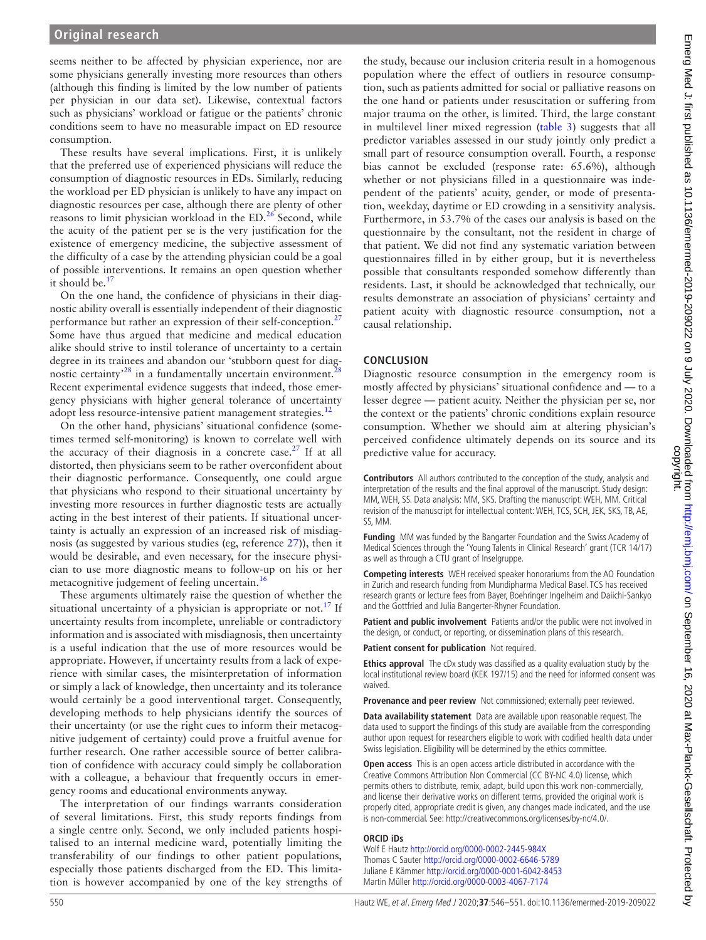seems neither to be affected by physician experience, nor are some physicians generally investing more resources than others (although this finding is limited by the low number of patients per physician in our data set). Likewise, contextual factors such as physicians' workload or fatigue or the patients' chronic conditions seem to have no measurable impact on ED resource consumption.

These results have several implications. First, it is unlikely that the preferred use of experienced physicians will reduce the consumption of diagnostic resources in EDs. Similarly, reducing the workload per ED physician is unlikely to have any impact on diagnostic resources per case, although there are plenty of other reasons to limit physician workload in the ED.<sup>[26](#page-5-23)</sup> Second, while the acuity of the patient per se is the very justification for the existence of emergency medicine, the subjective assessment of the difficulty of a case by the attending physician could be a goal of possible interventions. It remains an open question whether it should be. $<sup>1</sup>$ </sup>

On the one hand, the confidence of physicians in their diagnostic ability overall is essentially independent of their diagnostic performance but rather an expression of their self-conception.<sup>[27](#page-5-24)</sup> Some have thus argued that medicine and medical education alike should strive to instil tolerance of uncertainty to a certain degree in its trainees and abandon our 'stubborn quest for diag-nostic certainty<sup>[28](#page-5-25)</sup> in a fundamentally uncertain environment.<sup>2</sup> Recent experimental evidence suggests that indeed, those emergency physicians with higher general tolerance of uncertainty adopt less resource-intensive patient management strategies.<sup>[12](#page-5-11)</sup>

On the other hand, physicians' situational confidence (sometimes termed self-monitoring) is known to correlate well with the accuracy of their diagnosis in a concrete case.<sup>27</sup> If at all distorted, then physicians seem to be rather overconfident about their diagnostic performance. Consequently, one could argue that physicians who respond to their situational uncertainty by investing more resources in further diagnostic tests are actually acting in the best interest of their patients. If situational uncertainty is actually an expression of an increased risk of misdiagnosis (as suggested by various studies (eg, reference [27](#page-5-24))), then it would be desirable, and even necessary, for the insecure physician to use more diagnostic means to follow-up on his or her metacognitive judgement of feeling uncertain.<sup>[16](#page-5-15)</sup>

These arguments ultimately raise the question of whether the situational uncertainty of a physician is appropriate or not.<sup>17</sup> If uncertainty results from incomplete, unreliable or contradictory information and is associated with misdiagnosis, then uncertainty is a useful indication that the use of more resources would be appropriate. However, if uncertainty results from a lack of experience with similar cases, the misinterpretation of information or simply a lack of knowledge, then uncertainty and its tolerance would certainly be a good interventional target. Consequently, developing methods to help physicians identify the sources of their uncertainty (or use the right cues to inform their metacognitive judgement of certainty) could prove a fruitful avenue for further research. One rather accessible source of better calibration of confidence with accuracy could simply be collaboration with a colleague, a behaviour that frequently occurs in emergency rooms and educational environments anyway.

The interpretation of our findings warrants consideration of several limitations. First, this study reports findings from a single centre only. Second, we only included patients hospitalised to an internal medicine ward, potentially limiting the transferability of our findings to other patient populations, especially those patients discharged from the ED. This limitation is however accompanied by one of the key strengths of

the study, because our inclusion criteria result in a homogenous population where the effect of outliers in resource consumption, such as patients admitted for social or palliative reasons on the one hand or patients under resuscitation or suffering from major trauma on the other, is limited. Third, the large constant in multilevel liner mixed regression ([table](#page-3-2) 3) suggests that all predictor variables assessed in our study jointly only predict a small part of resource consumption overall. Fourth, a response bias cannot be excluded (response rate: 65.6%), although whether or not physicians filled in a questionnaire was independent of the patients' acuity, gender, or mode of presentation, weekday, daytime or ED crowding in a sensitivity analysis. Furthermore, in 53.7% of the cases our analysis is based on the questionnaire by the consultant, not the resident in charge of that patient. We did not find any systematic variation between questionnaires filled in by either group, but it is nevertheless possible that consultants responded somehow differently than residents. Last, it should be acknowledged that technically, our results demonstrate an association of physicians' certainty and patient acuity with diagnostic resource consumption, not a causal relationship.

## **Conclusion**

Diagnostic resource consumption in the emergency room is mostly affected by physicians' situational confidence and — to a lesser degree — patient acuity. Neither the physician per se, nor the context or the patients' chronic conditions explain resource consumption. Whether we should aim at altering physician's perceived confidence ultimately depends on its source and its predictive value for accuracy.

**Contributors** All authors contributed to the conception of the study, analysis and interpretation of the results and the final approval of the manuscript. Study design: MM, WEH, SS. Data analysis: MM, SKS. Drafting the manuscript: WEH, MM. Critical revision of the manuscript for intellectual content: WEH, TCS, SCH, JEK, SKS, TB, AE, SS, MM.

**Funding** MM was funded by the Bangarter Foundation and the Swiss Academy of Medical Sciences through the 'Young Talents in Clinical Research' grant (TCR 14/17) as well as through a CTU grant of Inselgruppe.

**Competing interests** WEH received speaker honorariums from the AO Foundation in Zurich and research funding from Mundipharma Medical Basel. TCS has received research grants or lecture fees from Bayer, Boehringer Ingelheim and Daiichi-Sankyo and the Gottfried and Julia Bangerter-Rhyner Foundation.

**Patient and public involvement** Patients and/or the public were not involved in the design, or conduct, or reporting, or dissemination plans of this research.

**Patient consent for publication** Not required.

**Ethics approval** The cDx study was classified as a quality evaluation study by the local institutional review board (KEK 197/15) and the need for informed consent was waived.

**Provenance and peer review** Not commissioned; externally peer reviewed.

**Data availability statement** Data are available upon reasonable request. The data used to support the findings of this study are available from the corresponding author upon request for researchers eligible to work with codified health data under Swiss legislation. Eligibility will be determined by the ethics committee.

**Open access** This is an open access article distributed in accordance with the Creative Commons Attribution Non Commercial (CC BY-NC 4.0) license, which permits others to distribute, remix, adapt, build upon this work non-commercially, and license their derivative works on different terms, provided the original work is properly cited, appropriate credit is given, any changes made indicated, and the use is non-commercial. See: [http://creativecommons.org/licenses/by-nc/4.0/.](http://creativecommons.org/licenses/by-nc/4.0/)

#### **ORCID iDs**

Wolf E Hautz<http://orcid.org/0000-0002-2445-984X> Thomas C Sauter <http://orcid.org/0000-0002-6646-5789> Juliane E Kämmer<http://orcid.org/0000-0001-6042-8453> Martin Müller<http://orcid.org/0000-0003-4067-7174>